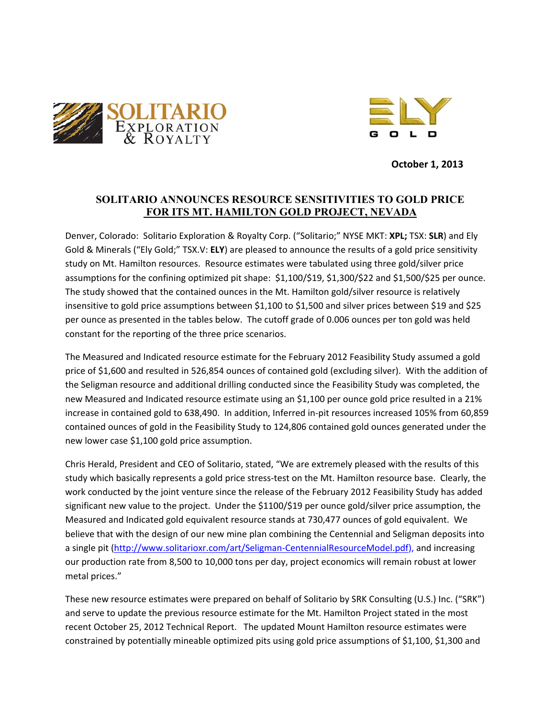



October 1, 2013

# **SOLITARIO ANNOUNCES RESOURCE SENSITIVITIES TO GOLD PRICE** FOR ITS MT. HAMILTON GOLD PROJECT, NEVADA

Denver, Colorado: Solitario Exploration & Royalty Corp. ("Solitario;" NYSE MKT: XPL; TSX: SLR) and Ely Gold & Minerals ("Ely Gold;" TSX.V: ELY) are pleased to announce the results of a gold price sensitivity study on Mt. Hamilton resources. Resource estimates were tabulated using three gold/silver price assumptions for the confining optimized pit shape: \$1,100/\$19, \$1,300/\$22 and \$1,500/\$25 per ounce. The study showed that the contained ounces in the Mt. Hamilton gold/silver resource is relatively insensitive to gold price assumptions between \$1,100 to \$1,500 and silver prices between \$19 and \$25 per ounce as presented in the tables below. The cutoff grade of 0.006 ounces per ton gold was held constant for the reporting of the three price scenarios.

The Measured and Indicated resource estimate for the February 2012 Feasibility Study assumed a gold price of \$1,600 and resulted in 526,854 ounces of contained gold (excluding silver). With the addition of the Seligman resource and additional drilling conducted since the Feasibility Study was completed, the new Measured and Indicated resource estimate using an \$1,100 per ounce gold price resulted in a 21% increase in contained gold to 638,490. In addition, Inferred in-pit resources increased 105% from 60,859 contained ounces of gold in the Feasibility Study to 124,806 contained gold ounces generated under the new lower case \$1,100 gold price assumption.

Chris Herald, President and CEO of Solitario, stated, "We are extremely pleased with the results of this study which basically represents a gold price stress-test on the Mt. Hamilton resource base. Clearly, the work conducted by the joint venture since the release of the February 2012 Feasibility Study has added significant new value to the project. Under the \$1100/\$19 per ounce gold/silver price assumption, the Measured and Indicated gold equivalent resource stands at 730,477 ounces of gold equivalent. We believe that with the design of our new mine plan combining the Centennial and Seligman deposits into a single pit (http://www.solitarioxr.com/art/Seligman-CentennialResourceModel.pdf), and increasing our production rate from 8,500 to 10,000 tons per day, project economics will remain robust at lower metal prices."

These new resource estimates were prepared on behalf of Solitario by SRK Consulting (U.S.) Inc. ("SRK") and serve to update the previous resource estimate for the Mt. Hamilton Project stated in the most recent October 25, 2012 Technical Report. The updated Mount Hamilton resource estimates were constrained by potentially mineable optimized pits using gold price assumptions of \$1,100, \$1,300 and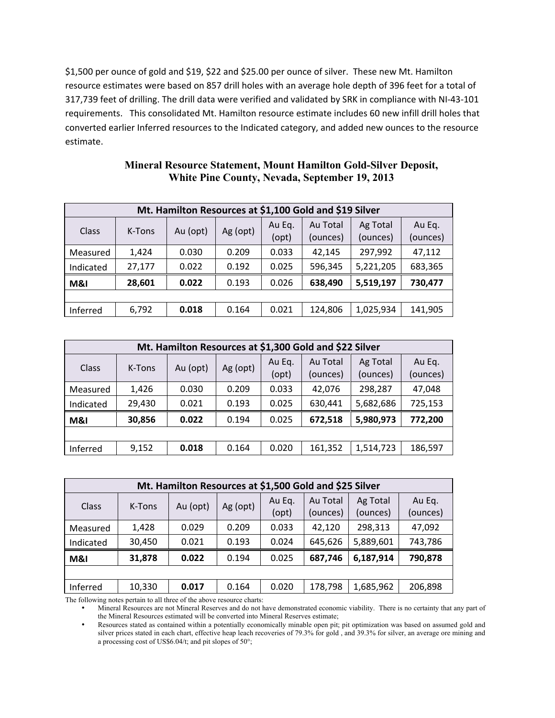\$1,500 per ounce of gold and \$19, \$22 and \$25.00 per ounce of silver. These new Mt. Hamilton resource estimates were based on 857 drill holes with an average hole depth of 396 feet for a total of 317,739 feet of drilling. The drill data were verified and validated by SRK in compliance with NI-43-101 requirements. This consolidated Mt. Hamilton resource estimate includes 60 new infill drill holes that converted earlier Inferred resources to the Indicated category, and added new ounces to the resource estimate.

| Mt. Hamilton Resources at \$1,100 Gold and \$19 Silver |        |          |          |                 |                      |                      |                    |
|--------------------------------------------------------|--------|----------|----------|-----------------|----------------------|----------------------|--------------------|
| Class                                                  | K-Tons | Au (opt) | Ag (opt) | Au Eq.<br>(opt) | Au Total<br>(ounces) | Ag Total<br>(ounces) | Au Eq.<br>(ounces) |
| Measured                                               | 1,424  | 0.030    | 0.209    | 0.033           | 42,145               | 297,992              | 47,112             |
| Indicated                                              | 27,177 | 0.022    | 0.192    | 0.025           | 596,345              | 5,221,205            | 683,365            |
| M&I                                                    | 28,601 | 0.022    | 0.193    | 0.026           | 638,490              | 5,519,197            | 730,477            |
|                                                        |        |          |          |                 |                      |                      |                    |
| Inferred                                               | 6,792  | 0.018    | 0.164    | 0.021           | 124,806              | 1,025,934            | 141,905            |

| <b>Mineral Resource Statement, Mount Hamilton Gold-Silver Deposit,</b> |
|------------------------------------------------------------------------|
| White Pine County, Nevada, September 19, 2013                          |

| Mt. Hamilton Resources at \$1,300 Gold and \$22 Silver |        |          |          |        |          |           |          |
|--------------------------------------------------------|--------|----------|----------|--------|----------|-----------|----------|
| <b>Class</b>                                           | K-Tons | Au (opt) | Ag (opt) | Au Eq. | Au Total | Ag Total  | Au Eq.   |
|                                                        |        |          |          | (opt)  | (ounces) | (ounces)  | (ounces) |
| Measured                                               | 1,426  | 0.030    | 0.209    | 0.033  | 42,076   | 298,287   | 47,048   |
| Indicated                                              | 29,430 | 0.021    | 0.193    | 0.025  | 630,441  | 5,682,686 | 725,153  |
| M&I                                                    | 30,856 | 0.022    | 0.194    | 0.025  | 672,518  | 5,980,973 | 772,200  |
|                                                        |        |          |          |        |          |           |          |
| Inferred                                               | 9,152  | 0.018    | 0.164    | 0.020  | 161,352  | 1,514,723 | 186,597  |

| Mt. Hamilton Resources at \$1,500 Gold and \$25 Silver |        |          |          |        |          |           |          |
|--------------------------------------------------------|--------|----------|----------|--------|----------|-----------|----------|
| Class                                                  | K-Tons | Au (opt) | Ag (opt) | Au Eq. | Au Total | Ag Total  | Au Eq.   |
|                                                        |        |          |          | (opt)  | (ounces) | (ounces)  | (ounces) |
| Measured                                               | 1,428  | 0.029    | 0.209    | 0.033  | 42,120   | 298,313   | 47,092   |
| Indicated                                              | 30,450 | 0.021    | 0.193    | 0.024  | 645,626  | 5,889,601 | 743,786  |
| M&I                                                    | 31,878 | 0.022    | 0.194    | 0.025  | 687,746  | 6,187,914 | 790,878  |
|                                                        |        |          |          |        |          |           |          |
| Inferred                                               | 10,330 | 0.017    | 0.164    | 0.020  | 178,798  | 1,685,962 | 206,898  |

The following notes pertain to all three of the above resource charts:

• Mineral Resources are not Mineral Reserves and do not have demonstrated economic viability. There is no certainty that any part of the Mineral Resources estimated will be converted into Mineral Reserves estimate;

• Resources stated as contained within a potentially economically minable open pit; pit optimization was based on assumed gold and silver prices stated in each chart, effective heap leach recoveries of 79.3% for gold , and 39.3% for silver, an average ore mining and a processing cost of US\$6.04/t; and pit slopes of 50°;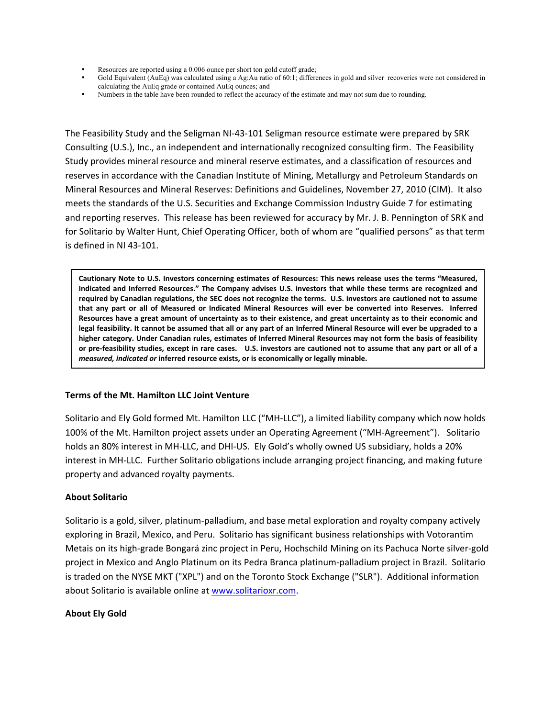- Resources are reported using a 0.006 ounce per short ton gold cutoff grade;
- Gold Equivalent (AuEq) was calculated using a Ag:Au ratio of 60:1; differences in gold and silver recoveries were not considered in calculating the AuEq grade or contained AuEq ounces; and
- Numbers in the table have been rounded to reflect the accuracy of the estimate and may not sum due to rounding.

The Feasibility Study and the Seligman NI-43-101 Seligman resource estimate were prepared by SRK Consulting (U.S.), Inc., an independent and internationally recognized consulting firm. The Feasibility Study provides mineral resource and mineral reserve estimates, and a classification of resources and reserves in accordance with the Canadian Institute of Mining, Metallurgy and Petroleum Standards on Mineral Resources and Mineral Reserves: Definitions and Guidelines, November 27, 2010 (CIM). It also meets the standards of the U.S. Securities and Exchange Commission Industry Guide 7 for estimating and reporting reserves. This release has been reviewed for accuracy by Mr. J. B. Pennington of SRK and for Solitario by Walter Hunt, Chief Operating Officer, both of whom are "qualified persons" as that term is defined in NI 43-101.

Cautionary Note to U.S. Investors concerning estimates of Resources: This news release uses the terms "Measured, Indicated and Inferred Resources." The Company advises U.S. investors that while these terms are recognized and required by Canadian regulations, the SEC does not recognize the terms. U.S. investors are cautioned not to assume that any part or all of Measured or Indicated Mineral Resources will ever be converted into Reserves. Inferred Resources have a great amount of uncertainty as to their existence, and great uncertainty as to their economic and legal feasibility. It cannot be assumed that all or any part of an Inferred Mineral Resource will ever be upgraded to a higher category. Under Canadian rules, estimates of Inferred Mineral Resources may not form the basis of feasibility **or pre-feasibility studies, except in rare cases.** U.S. investors are cautioned not to assume that any part or all of a *measured, indicated or inferred resource exists, or is economically or legally minable.* 

#### **Terms of the Mt. Hamilton LLC Joint Venture**

Solitario and Ely Gold formed Mt. Hamilton LLC ("MH-LLC"), a limited liability company which now holds 100% of the Mt. Hamilton project assets under an Operating Agreement ("MH-Agreement"). Solitario holds an 80% interest in MH-LLC, and DHI-US. Ely Gold's wholly owned US subsidiary, holds a 20% interest in MH-LLC. Further Solitario obligations include arranging project financing, and making future property and advanced royalty payments.

#### **About Solitario**

Solitario is a gold, silver, platinum-palladium, and base metal exploration and royalty company actively exploring in Brazil, Mexico, and Peru. Solitario has significant business relationships with Votorantim Metais on its high-grade Bongará zinc project in Peru, Hochschild Mining on its Pachuca Norte silver-gold project in Mexico and Anglo Platinum on its Pedra Branca platinum-palladium project in Brazil. Solitario is traded on the NYSE MKT ("XPL") and on the Toronto Stock Exchange ("SLR"). Additional information about Solitario is available online at www.solitarioxr.com.

#### **About Ely Gold**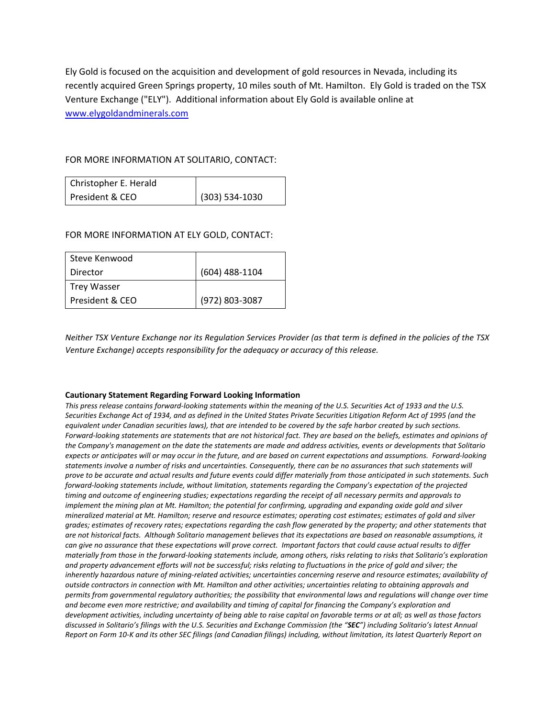Ely Gold is focused on the acquisition and development of gold resources in Nevada, including its recently acquired Green Springs property, 10 miles south of Mt. Hamilton. Ely Gold is traded on the TSX Venture Exchange ("ELY"). Additional information about Ely Gold is available online at www.elygoldandminerals.com

## FOR MORE INFORMATION AT SOLITARIO, CONTACT:

| Christopher E. Herald |                  |
|-----------------------|------------------|
| President & CEO       | $(303) 534-1030$ |

### FOR MORE INFORMATION AT ELY GOLD, CONTACT:

| Steve Kenwood   |                  |
|-----------------|------------------|
| Director        | $(604)$ 488-1104 |
| Trey Wasser     |                  |
| President & CEO | (972) 803-3087   |

*Neither'TSX'Venture'Exchange'nor'its'Regulation'Services'Provider'(as'that'term'is'defined'in'the'policies'of'the'TSX' Venture'Exchange)'accepts'responsibility'for'the'adequacy'or'accuracy'of'this'release.'*

#### **Cautionary Statement Regarding Forward Looking Information**

This press release contains forward-looking statements within the meaning of the U.S. Securities Act of 1933 and the U.S. Securities Exchange Act of 1934, and as defined in the United States Private Securities Litigation Reform Act of 1995 (and the *equivalent'under'Canadian'securities'laws), that'are'intended'to'be'covered'by'the'safe'harbor'created'by'such'sections.'* Forward-looking statements are statements that are not historical fact. They are based on the beliefs, estimates and opinions of the Company's management on the date the statements are made and address activities, events or developments that Solitario' expects or anticipates will or may occur in the future, and are based on current expectations and assumptions. Forward-looking *statements'involve'a'number'of'risks'and'uncertainties.'Consequently,'there'can'be'no'assurances'that'such'statements'will' prove'to'be'accurate'and'actual'results'and'future'events'could'differ'materially'from'those'anticipated'in'such'statements.'Such' forward-looking statements include, without limitation, statements regarding the Company's expectation of the projected timing'and'outcome'of'engineering'studies;'expectations'regarding'the'receipt'of'all'necessary'permits'and'approvals'to'* implement the mining plan at Mt. Hamilton; the potential for confirming, upgrading and expanding oxide gold and silver *mineralized'material'at'Mt.'Hamilton;'reserve'and'resource'estimates;'operating'cost'estimates;'estimates'of'gold'and'silver' grades;'estimates'of'recovery'rates;'expectations'regarding'the'cash'flow'generated'by'the'property;'and'other'statements'that' are'not'historical'facts.''Although'Solitario'management'believes'that'its'expectations'are'based'on'reasonable'assumptions,'it' can'give'no'assurance'that'these'expectations'will'prove'correct.''Important'factors'that'could'cause'actual'results'to'differ' materially from those in the forward-looking statements include, among others, risks relating to risks that Solitario's exploration and'property'advancement'efforts'will'not'be'successful;'risks'relating'to'fluctuations'in'the'price'of'gold'and'silver;'the'* inherently hazardous nature of mining-related activities; uncertainties concerning reserve and resource estimates; availability of *outside'contractors'in'connection'with'Mt.'Hamilton'and'other'activities;'uncertainties'relating'to'obtaining'approvals'and' permits'from'governmental'regulatory'authorities;'the'possibility'that'environmental'laws'and'regulations'will'change'over'time'* and become even more restrictive; and availability and timing of capital for financing the Company's exploration and *development'activities,'including'uncertainty'of'being'able'to'raise'capital'on'favorable'terms'or'at'all;'as'well'as'those'factors' discussed'in'Solitario's'filings'with'the'U.S.'Securities'and'Exchange'Commission'(the'"SEC")'including'Solitario's'latest'Annual'* Report on Form 10-K and its other SEC filings (and Canadian filings) including, without limitation, its latest Quarterly Report on